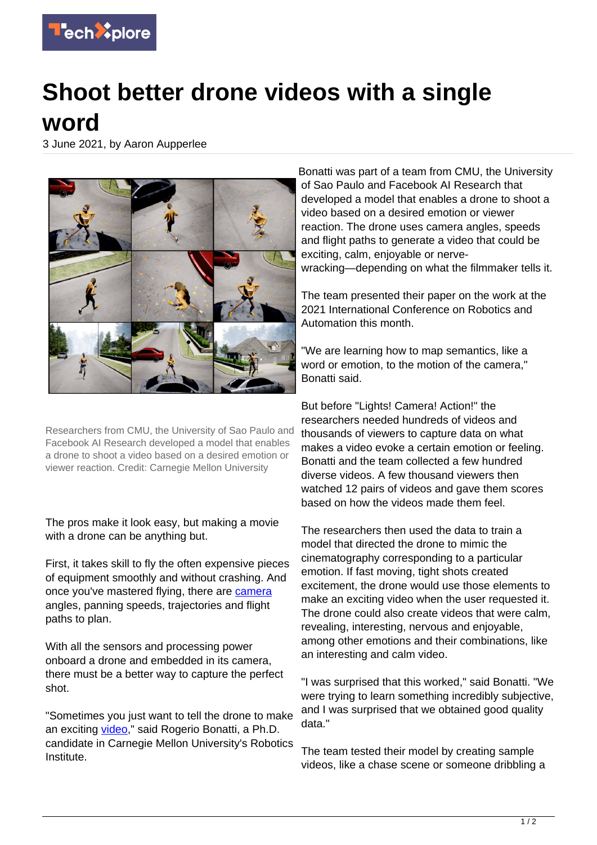

## **Shoot better drone videos with a single word**

3 June 2021, by Aaron Aupperlee



Researchers from CMU, the University of Sao Paulo and Facebook AI Research developed a model that enables a drone to shoot a video based on a desired emotion or viewer reaction. Credit: Carnegie Mellon University

The pros make it look easy, but making a movie with a drone can be anything but.

First, it takes skill to fly the often expensive pieces of equipment smoothly and without crashing. And once you've mastered flying, there are [camera](https://techxplore.com/tags/camera/) angles, panning speeds, trajectories and flight paths to plan.

With all the sensors and processing power onboard a drone and embedded in its camera, there must be a better way to capture the perfect shot.

"Sometimes you just want to tell the drone to make an exciting [video](https://techxplore.com/tags/video/)," said Rogerio Bonatti, a Ph.D. candidate in Carnegie Mellon University's Robotics Institute.

Bonatti was part of a team from CMU, the University of Sao Paulo and Facebook AI Research that developed a model that enables a drone to shoot a video based on a desired emotion or viewer reaction. The drone uses camera angles, speeds and flight paths to generate a video that could be exciting, calm, enjoyable or nervewracking—depending on what the filmmaker tells it.

The team presented their paper on the work at the 2021 International Conference on Robotics and Automation this month.

"We are learning how to map semantics, like a word or emotion, to the motion of the camera," Bonatti said.

But before "Lights! Camera! Action!" the researchers needed hundreds of videos and thousands of viewers to capture data on what makes a video evoke a certain emotion or feeling. Bonatti and the team collected a few hundred diverse videos. A few thousand viewers then watched 12 pairs of videos and gave them scores based on how the videos made them feel.

The researchers then used the data to train a model that directed the drone to mimic the cinematography corresponding to a particular emotion. If fast moving, tight shots created excitement, the drone would use those elements to make an exciting video when the user requested it. The drone could also create videos that were calm, revealing, interesting, nervous and enjoyable, among other emotions and their combinations, like an interesting and calm video.

"I was surprised that this worked," said Bonatti. "We were trying to learn something incredibly subjective, and I was surprised that we obtained good quality data."

The team tested their model by creating sample videos, like a chase scene or someone dribbling a